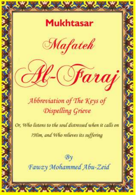# **Mukhtasar**



*Saraj* 

# Abbreviation of The Keys of Dispelling Grieve

 $\sqrt{-1}$ 

Or, Who fistens to the soul distressed when it calls on ?Him, and Who relieves its suffering

#### $Bv$ Fawzy Mohammed Abu-Zeid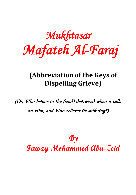*Mukhtasar Mafateh Al-Faraj* 

#### **(Abbreviation of the Keys of Dispelling Grieve)**

(Or, Who listens to the (soul) distressed when it calls on Him, and Who relieves its suffering?)

> $\boldsymbol{\mathcal{B}}\boldsymbol{\gamma}$ **Fawzy Mohammed Abu-Zeid**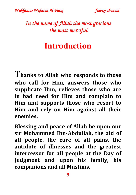

#### *In the name of Allah the most gracious the most merciful*

#### **Introduction**

**Thanks to Allah who responds to those who call for Him, answers those who supplicate Him, relieves those who are in bad need for Him and complain to Him and supports those who resort to Him and rely on Him against all their enemies.**

**Blessing and peace of Allah be upon our sir Mohammed Ibn-Abdullah, the aid of all people, the cure of all pains, the antidote of illnesses and the greatest intercessor for all people at the Day of Judgment and upon his family, his companions and all Muslims.**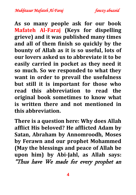**As so many people ask for our book Mafateh Al-Faraj (Keys for dispelling grieve) and it was published many times and all of them finish so quickly by the bounty of Allah as it is so useful, lots of our lovers asked us to abbreviate it to be easily carried in pocket as they need it so much. So we responded to what they want in order to prevail the usefulness but still it is important for those who read this abbreviation to read the original book sometimes to know what is written there and not mentioned in this abbreviation.**

**There is a question here: Why does Allah afflict His beloved? He afflicted Adam by Satan, Abraham by Annomroodh, Moses by Ferawn and our prophet Mohammed (May the blessings and peace of Allah be upon him) by Abi-Jahl, as Allah says:** "Thus have We made for every prophet an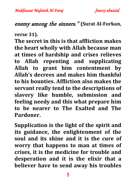#### enemy among the sinners." **(Surat Al-Forkan,**

**verse 31).**

**The secret in this is that affliction makes the heart wholly with Allah because man at times of hardship and crises relieves to Allah repenting and supplicating Allah to grant him contentment by Allah's decrees and makes him thankful to his bounties. Affliction also makes the servant really tend to the descriptions of slavery like humble, submission and feeling needy and this what prepare him to be nearer to The Exalted and The Pardoner.**

**Supplication is the light of the spirit and its guidance, the enlightenment of the soul and its shine and it is the cure of worry that happens to man at times of crises, it is the medicine for trouble and desperation and it is the elixir that a believer have to send away his troubles**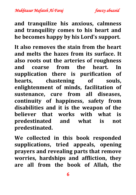

**and tranquilize his anxious, calmness and tranquility comes to his heart and he becomes happy by his Lord's support.**

**It also removes the stain from the heart and melts the hazes from its surface. It also roots out the arteries of roughness and coarse from the heart. In supplication there is purification of hearts, chastening of souls, enlightenment of minds, facilitation of sustenance, cure from all diseases, continuity of happiness, safety from disabilities and it is the weapon of the believer that works with what is predestinated and what is not predestinated.**

**We collected in this book responded supplications, tried appeals, opening prayers and revealing parts that remove worries, hardships and affliction, they are all from the book of Allah, the**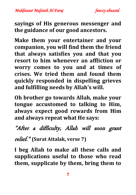*Mukhtasar Mafateh Al-Faraj fawzy abuzeid* 

**sayings of His generous messenger and the guidance of our good ancestors.**

**Make them your entertainer and your companion, you will find them the friend that always satisfies you and that you resort to him whenever an affliction or worry comes to you and at times of crises. We tried them and found them quickly responded in dispelling grieves and fulfilling needs by Allah's will.**

**Oh brother go towards Allah, make your tongue accustomed to talking to Him, always expect good rewards from Him and always repeat what He says:**

#### "After a difficulty, Allah will soon grant

relief." **(Surat Attalak, verse 7)**

**I beg Allah to make all these calls and supplications useful to those who read them, supplicate by them, bring them to**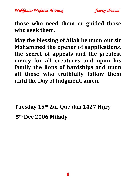*Mukhtasar Mafateh Al-Faraj fawzy abuzeid* 



**those who need them or guided those who seek them.**

**May the blessing of Allah be upon our sir Mohammed the opener of supplications, the secret of appeals and the greatest mercy for all creatures and upon his family the lions of hardships and upon all those who truthfully follow them until the Day of Judgment, amen.**

**Tuesday 15th Zul-Que'dah 1427 Hijry 5th Dec 2006 Milady**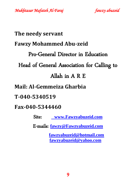*Mukhtasar Mafateh Al-Faraj fawzy abuzeid* 

# **The needy servant Fawzy Mohammed Abu-zeid** Pro-General Director in Education Head of General Association for Calling to Allah in A R E **Mail: Al-Gemmeiza Gharbia T-040-5340519 Fax-040-5344460** Site: **[www.Fawzyabuzeid.com](http://www.fawzyabuzeid.com/)**

E-mails: **[fawzy@Fawzyabuzeid.com](mailto:fawzy@Fawzyabuzeid.com)**

 **[fawzyabuzeid@hotmail.com](mailto:fawzyabuzeid@hotmail.com) [fawzyabuzeid@yahoo.com](mailto:fawzyabuzeid@yahoo.com)**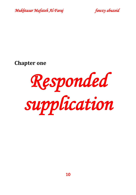



**Chapter one**

*Responded supplication*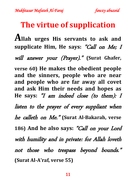#### **The virtue of supplication**

**Allah urges His servants to ask and supplicate Him, He says:** "Call on Me; I

will answer your (Prayer)." **(Surat Ghafer,** 

**verse 60) He makes the obedient people and the sinners, people who are near and people who are far away all covet and ask Him their needs and hopes as He says:** "I am indeed close (to them): I listen to the prayer of every suppliant when he calleth on Me." **(Surat Al-Bakarah, verse 186) And he also says:** "Call on your Lord with humility and in private: for Allah loveth not those who trespass beyond bounds." **(Surat Al-A'raf, verse 55)**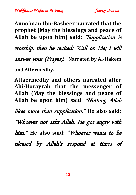**Anno'man Ibn-Basheer narrated that the prophet (May the blessings and peace of Allah be upon him) said:** "Supplication is worship, then he recited: "Call on Me; I will

answer your (Prayer)." **Narrated by Al-Hakem and Attermedhy.**

**Attaermedhy and others narrated after Abi-Horayrah that the messenger of Allah (May the blessings and peace of Allah be upon him) said:** "Nothing Allah likes more than supplication." **He also said:**  "Whoever not asks Allah, He got angry with him." **He also said:** "Whoever wants to be pleased by Allah's respond at times of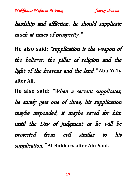hardship and affliction, he should supplicate much at times of prosperity."

**He also said:** "supplication is the weapon of the believer, the pillar of religion and the light of the heavens and the land." **Abu-Ya'ly after Ali.**

**He also said:** "When a servant supplicates, he surely gets one of three, his supplication maybe responded, it maybe saved for him until the Day of Judgment or he will be protected from evil similar to his supplication." **Al-Bokhary after Abi-Said.**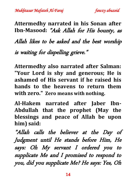**Attermedhy narrated in his Sonan after Ibn-Masood:** "Ask Allah for His bounty, as Allah likes to be asked and the best worship is waiting for dispelling grieve."

**Attermedhy also narrated after Salman: "Your Lord is shy and generous; He is ashamed of His servant if he raised his hands to the heavens to return them with zero." Zero means with nothing.**

**Al-Hakem narrated after Jaber Ibn-Abdullah that the prophet (May the blessings and peace of Allah be upon him) said:**

"Allah calls the believer at the Day of Judgment until He stands before Him, He says: Oh My servant I ordered you to supplicate Me and I promised to respond to you, did you supplicate Me? He says: Yes, Oh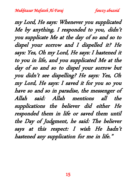my Lord, He says: Whenever you supplicated Me by anything, I responded to you, didn't you supplicate Me at the day of so and so to dispel your sorrow and I dispelled it? He says: Yes, Oh my Lord, He says: I hastened it to you in life, and you supplicated Me at the day of so and so to dispel your sorrow but you didn't see dispelling? He says: Yes, Oh my Lord, He says: I saved it for you so you have so and so in paradise, the messenger of Allah said: Allah mentions all the supplications the believer did either He responded them in life or saved them until the Day of Judgment, he said: The believer says at this respect: I wish He hadn't hastened any supplication for me in life."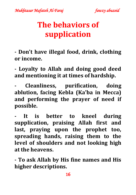# **The behaviors of supplication**

**- Don't have illegal food, drink, clothing or income.**

**- Loyalty to Allah and doing good deed and mentioning it at times of hardship.**

**- Cleanliness, purification, doing ablution, facing Kebla (Ka'ba in Mecca) and performing the prayer of need if possible.**

**- It is better to kneel during supplication, praising Allah first and last, praying upon the prophet too, spreading hands, raising them to the level of shoulders and not looking high at the heavens.**

**- To ask Allah by His fine names and His higher descriptions.**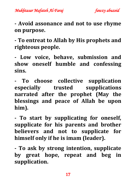

**- Avoid assonance and not to use rhyme on purpose.**

**- To entreat to Allah by His prophets and righteous people.**

**- Low voice, behave, submission and show oneself humble and confessing sins.**

**- To choose collective supplication especially trusted supplications narrated after the prophet (May the blessings and peace of Allah be upon him).**

**- To start by supplicating for oneself, supplicate for his parents and brother believers and not to supplicate for himself only if he is imam (leader).**

**- To ask by strong intention, supplicate by great hope, repeat and beg in supplication.**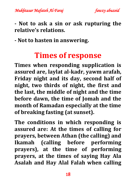

**- Not to ask a sin or ask rupturing the relative's relations.**

**- Not to hasten in answering.**

#### **Times of response**

**Times when responding supplication is assured are, laylat al-kadr, yawm arafah, Friday night and its day, second half of night, two thirds of night, the first and the last, the middle of night and the time before dawn, the time of Jomah and the month of Ramadan especially at the time of breaking fasting (at sunset).**

**The conditions in which responding is assured are: At the times of calling for prayers, between Athan (the calling) and Ikamah (calling before performing prayers), at the time of performing prayers, at the times of saying Hay Ala Asalah and Hay Alal Falah when calling**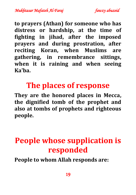*Mukhtasar Mafateh Al-Faraj fawzy abuzeid* 

**to prayers (Athan) for someone who has distress or hardship, at the time of fighting in jihad, after the imposed prayers and during prostration, after reciting Koran, when Muslims are gathering, in remembrance sittings, when it is raining and when seeing Ka'ba.**

#### **The places of response**

**They are the honored places in Mecca, the dignified tomb of the prophet and also at tombs of prophets and righteous people.**

# **People whose supplication is responded**

**People to whom Allah responds are:**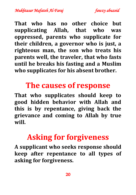**That who has no other choice but supplicating Allah, that who was oppressed, parents who supplicate for their children, a governor who is just, a righteous man, the son who treats his parents well, the traveler, that who fasts until he breaks his fasting and a Muslim who supplicates for his absent brother.**

## **The causes of response**

**That who supplicates should keep to good hidden behavior with Allah and this is by repentance, giving back the grievance and coming to Allah by true will.**

### **Asking for forgiveness**

**A supplicant who seeks response should keep after repentance to all types of asking for forgiveness.**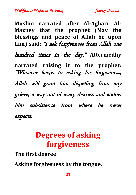*Mukhtasar Mafateh Al-Faraj fawzy abuzeid* 

**Muslim narrated after Al-Agharr Al-Mazney that the prophet (May the blessings and peace of Allah be upon him) said:** "I ask forgiveness from Allah one hundred times in the day." **Attermedhy narrated raising it to the prophet:**  "Whoever keeps to asking for forgiveness, Allah will grant him dispelling from any grieve, a way out of every distress and endow

him subsistence from where he never expects."

## **Degrees of asking forgiveness**

**The first degree:** 

**Asking forgiveness by the tongue.**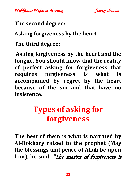

**The second degree:** 

**Asking forgiveness by the heart.**

**The third degree:**

**Asking forgiveness by the heart and the tongue. You should know that the reality of perfect asking for forgiveness that requires forgiveness is what is accompanied by regret by the heart because of the sin and that have no insistence.**

# **Types of asking for forgiveness**

**The best of them is what is narrated by Al-Bokhary raised to the prophet (May the blessings and peace of Allah be upon him), he said:** "The master of forgiveness is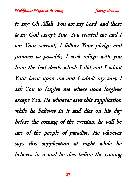to say: Oh Allah, You are my Lord, and there is no God except You, You created me and I am Your servant, I follow Your pledge and promise as possible, I seek refuge with you from the bad deeds which I did and I admit Your favor upon me and I admit my sins, I ask You to forgive me where none forgives except You. He whoever says this supplication while he believes in it and dies on his day before the coming of the evening, he will be one of the people of paradise. He whoever says this supplication at night while he believes in it and he dies before the coming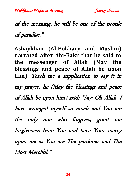## of the morning, he will be one of the people of paradise."

**Ashaykhan (Al-Bokhary and Muslim) narrated after Abi-Bakr that he said to the messenger of Allah (May the blessings and peace of Allah be upon him):** Teach me a supplication to say it in my prayer, he (May the blessings and peace of Allah be upon him) said: "Say: Oh Allah, I have wronged myself so much and You are the only one who forgives, grant me forgiveness from You and have Your mercy upon me as You are The pardoner and The Most Merciful."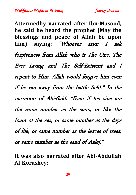*Mukhtasar Mafateh Al-Faraj fawzy abuzeid* 

**Attermedhy narrated after Ibn-Masood, he said he heard the prophet (May the blessings and peace of Allah be upon him) saying:** "Whoever says: I ask forgiveness from Allah who is The One, The Ever Living and The Self-Existent and I repent to Him, Allah would forgive him even if he ran away from the battle field." In the narration of Abi-Said: "Even if his sins are the same number as the stars, or like the foam of the sea, or same number as the days of life, or same number as the leaves of trees, or same number as the sand of Aalej."

**It was also narrated after Abi-Abdullah Al-Korashey:**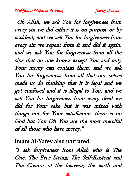"Oh Allah, we ask You for forgiveness from every sin we did either it is on purpose or by accident, and we ask You for forgiveness from every sin we repent from it and did it again, and we ask You for forgiveness from all the sins that no one knows except You and only Your mercy can contain them, and we ask You for forgiveness from all that our selves made us do thinking that it is legal and we got confused and it is illegal to You, and we ask You for forgiveness from every deed we did for Your sake but it was mixed with things not for Your satisfaction, there is no God but You Oh You are the most merciful of all those who have mercy."

**Imam Al-Yafey also narrated:**

"I ask forgiveness from Allah who is The One, The Ever Living, The Self-Existent and The Creator of the heavens, the earth and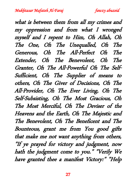what is between them from all my crimes and my oppression and from what I wronged myself and I repent to Him, Oh Allah, Oh The One, Oh The Unequalled, Oh The Generous, Oh The All-Perfect Oh The Extender, Oh The Benevolent, Oh The Granter, Oh The All-Powerful Oh The Self-Sufficient, Oh The Supplier of means to others, Oh The Giver of Decisions, Oh The All-Provider, Oh The Ever Living, Oh The Self-Subsisting, Oh The Most Gracious, Oh The Most Merciful, Oh The Deviser of the Heavens and the Earth, Oh The Majestic and The Benevolent, Oh The Beneficent and The Bounteous, grant me from You good gifts that make me not want anything from others, "If ye prayed for victory and judgment, now hath the judgment come to you." "Verily We have granted thee a manifest Victory:" "Help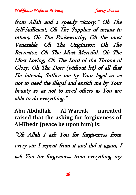from Allah and a speedy victory." Oh The Self-Sufficient, Oh The Supplier of means to others, Oh The Praiseworthy, Oh the most Venerable, Oh The Originator, Oh The Recreator, Oh The Most Merciful, Oh The Most Loving, Oh The Lord of the Throne of Glory, Oh The Doer (without let) of all that He intends, Suffice me by Your legal so as not to need the illegal and enrich me by Your bounty so as not to need others as You are able to do everything."

**Abu-Abdullah Al-Warrak narrated raised that the asking for forgiveness of Al-Khedr (peace be upon him) is:**

"Oh Allah I ask You for forgiveness from every sin I repent from it and did it again, I ask You for forgiveness from everything my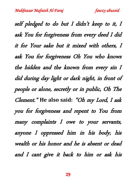self pledged to do but I didn't keep to it, I ask You for forgiveness from every deed I did it for Your sake but it mixed with others, I ask You for forgiveness Oh You who knows the hidden and the known from every sin I did during day light or dark night, in front of people or alone, secretly or in public, Oh The Clement." **He also said:** "Oh my Lord, I ask you for forgiveness and repent to You from many complaints I owe to your servants, anyone I oppressed him in his body, his wealth or his honor and he is absent or dead and I cant give it back to him or ask his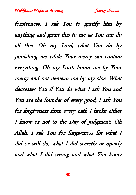forgiveness, I ask You to gratify him by anything and grant this to me as You can do all this. Oh my Lord, what You do by punishing me while Your mercy can contain everything. Oh my Lord, honor me by Your mercy and not demean me by my sins. What decreases You if You do what I ask You and You are the founder of every good, I ask You for forgiveness from every oath I broke either I know or not to the Day of Judgment. Oh Allah, I ask You for forgiveness for what I did or will do, what I did secretly or openly and what I did wrong and what You know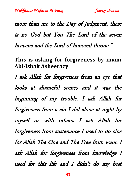more than me to the Day of Judgment, there is no God but You The Lord of the seven heavens and the Lord of honored throne."

**This is asking for forgiveness by imam Abi-Ishak Asheerazy:**

I ask Allah for forgiveness from an eye that looks at shameful scenes and it was the beginning of my trouble. I ask Allah for forgiveness from a sin I did alone at night by myself or with others. I ask Allah for forgiveness from sustenance I used to do sins for Allah The One and The Free from want. I ask Allah for forgiveness from knowledge I used for this life and I didn't do my best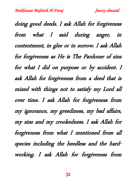doing good deeds. I ask Allah for forgiveness from what I said during anger, in contentment, in glee or in sorrow. I ask Allah for forgiveness as He is The Pardoner of sins for what I did on purpose or by accident. I ask Allah for forgiveness from a deed that is mixed with things not to satisfy my Lord all over time. I ask Allah for forgiveness from my ignorance, my greediness, my bad affairs, my sins and my crookedness. I ask Allah for forgiveness from what I mentioned from all species including the heedless and the hardworking. I ask Allah for forgiveness from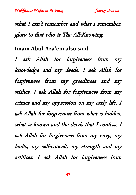what I can't remember and what I remember, glory to that who is The All-Knowing.

**Imam Abul-Aza'em also said:**

I ask Allah for forgiveness from my knowledge and my deeds, I ask Allah for forgiveness from my greediness and my wishes. I ask Allah for forgiveness from my crimes and my oppression on my early life. I ask Allah for forgiveness from what is hidden, what is known and the deeds that I confess. I ask Allah for forgiveness from my envy, my faults, my self-conceit, my strength and my artifices. I ask Allah for forgiveness from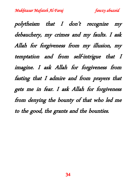polytheism that I don't recognize my debauchery, my crimes and my faults. I ask Allah for forgiveness from my illusion, my temptation and from self-intrigue that I imagine. I ask Allah for forgiveness from fasting that I admire and from prayers that gets me in fear. I ask Allah for forgiveness from denying the bounty of that who led me to the good, the grants and the bounties.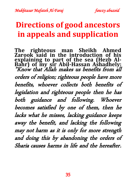### **Directions of good ancestors in appeals and supplication**

**The righteous man Sheikh Ahmed Zarook said in the introduction of his explaining to part of the sea (Hezb Al-Bahr) of my sir Abil-Hassan Ashadhely:** "Know that Allah makes us benefits from all orders of religion; righteous people have more benefits, whoever collects both benefits of legislation and righteous people then he has both guidance and following. Whoever becomes satisfied by one of them, then he lacks what he misses, lacking guidance keeps away the benefit, and lacking the following may not harm as it is only for more strength and doing this by abandoning the orders of Sharia causes harms in life and the hereafter.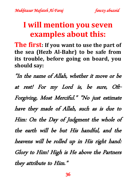#### **I will mention you seven examples about this:**

**The first: If you want to use the part of the sea (Hezb Al-Bahr) to be safe from its trouble, before going on board, you should say:** 

"In the name of Allah, whether it move or be at rest! For my Lord is, be sure, Oft-Forgiving, Most Merciful." "No just estimate have they made of Allah, such as is due to Him: On the Day of Judgment the whole of the earth will be but His handful, and the heavens will be rolled up in His right hand: Glory to Him! High is He above the Partners they attribute to Him."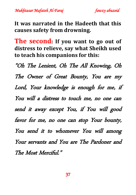*Mukhtasar Mafateh Al-Faraj fawzy abuzeid* 

**It was narrated in the Hadeeth that this causes safety from drowning.**

**The second: If you want to go out of distress to relieve, say what Sheikh used to teach his companions for this:** 

"Oh The Lenient, Oh The All Knowing, Oh The Owner of Great Bounty, You are my Lord, Your knowledge is enough for me, if You will a distress to touch me, no one can send it away except You, if You will good favor for me, no one can stop Your bounty, You send it to whomever You will among Your servants and You are The Pardoner and The Most Merciful."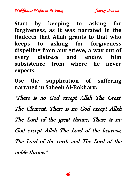*Mukhtasar Mafateh Al-Faraj fawzy abuzeid* 

**Start by keeping to asking for forgiveness, as it was narrated in the Hadeeth that Allah grants to that who keeps to asking for forgiveness dispelling from any grieve, a way out of every distress and endow him subsistence from where he never expects.**

**Use the supplication of suffering narrated in Saheeh Al-Bokhary:** 

"There is no God except Allah The Great, The Clement, There is no God except Allah The Lord of the great throne, There is no God except Allah The Lord of the heavens, The Lord of the earth and The Lord of the noble throne."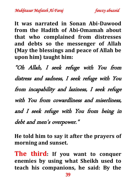

**It was narrated in Sonan Abi-Dawood from the Hadith of Abi-Omamah about that who complained from distresses and debts so the messenger of Allah (May the blessings and peace of Allah be upon him) taught him:**

"Oh Allah, I seek refuge with You from distress and sadness, I seek refuge with You from incapability and laziness, I seek refuge with You from cowardliness and miserliness, and I seek refuge with You from being in debt and men's overpower."

**He told him to say it after the prayers of morning and sunset.**

**The third: If you want to conquer enemies by using what Sheikh used to teach his companions, he said: By the**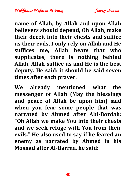*Mukhtasar Mafateh Al-Faraj fawzy abuzeid* 

**name of Allah, by Allah and upon Allah believers should depend, Oh Allah, make their deceit into their chests and suffice us their evils, I only rely on Allah and He suffices me, Allah hears that who supplicates, there is nothing behind Allah, Allah suffice us and He is the best deputy. He said: it should be said seven times after each prayer.**

**We already mentioned what the messenger of Allah (May the blessings and peace of Allah be upon him) said when you fear some people that was narrated by Ahmed after Abi-Bordah: "Oh Allah we make You into their chests and we seek refuge with You from their evils." He also used to say if he feared an enemy as narrated by Ahmed in his Mosnad after Al-Barraa, he said:**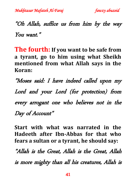"Oh Allah, suffice us from him by the way You want."

**The fourth: If you want to be safe from a tyrant, go to him using what Sheikh mentioned from what Allah says in the Koran:** 

"Moses said: I have indeed called upon my Lord and your Lord (for protection) from every arrogant one who believes not in the Day of Account"

**Start with what was narrated in the Hadeeth after Ibn-Abbas for that who fears a sultan or a tyrant, he should say:**

"Allah is the Great, Allah is the Great, Allah is more mighty than all his creatures, Allah is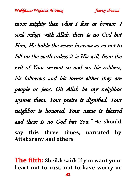more mighty than what I fear or beware, I seek refuge with Allah, there is no God but Him, He holds the seven heavens so as not to fall on the earth unless it is His will, from the evil of Your servant so and so, his soldiers, his followers and his lovers either they are people or Jens. Oh Allah be my neighbor against them, Your praise is dignified, Your neighbor is honored, Your name is blessed and there is no God but You." **He should say this three times, narrated by Attabarany and others.**

**The fifth: Sheikh said: If you want your heart not to rust, not to have worry or**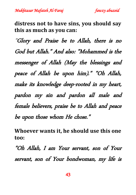**distress not to have sins, you should say this as much as you can:**

"Glory and Praise be to Allah, there is no God but Allah." And also: "Mohammed is the messenger of Allah (May the blessings and peace of Allah be upon him)." "Oh Allah, make its knowledge deep-rooted in my heart, pardon my sin and pardon all male and female believers, praise be to Allah and peace be upon those whom He chose."

**Whoever wants it, he should use this one too:**

"Oh Allah, I am Your servant, son of Your servant, son of Your bondwoman, my life is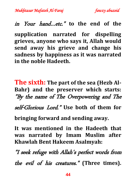#### in Your hand…etc." **to the end of the**

**supplication narrated for dispelling grieves, anyone who says it, Allah would send away his grieve and change his sadness by happiness as it was narrated in the noble Hadeeth.**

**The sixth: The part of the sea (Hezb Al-Bahr) and the preserver which starts:**  "By the name of The Overpowering and The

self-Glorious Lord." **Use both of them for** 

**bringing forward and sending away.**

**It was mentioned in the Hadeeth that was narrated by Imam Muslim after Khawlah Bent Hakeem Asalmyah:**

"I seek refuge with Allah's perfect words from the evil of his creatures." **(Three times).**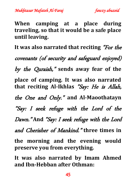*Mukhtasar Mafateh Al-Faraj fawzy abuzeid* 

**When camping at a place during traveling, so that it would be a safe place until leaving.**

**It was also narrated that reciting** "For the covenants (of security and safeguard enjoyed) by the Quraish," **sends away fear of the place of camping. It was also narrated that reciting Al-Ikhlas** "Say: He is Allah, the One and Only." **and Al-Maoothatayn**  "Say: I seek refuge with the Lord of the Dawn." **And** "Say: I seek refuge with the Lord and Cherisher of Mankind." **three times in the morning and the evening would preserve you from everything.**

**It was also narrated by Imam Ahmed and Ibn-Hebban after Othman:**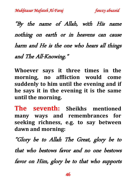"By the name of Allah, with His name nothing on earth or in heavens can cause harm and He is the one who hears all things and The All-Knowing."

**Whoever says it three times in the morning, no affliction would come suddenly to him until the evening and if he says it in the evening it is the same until the morning.**

**The seventh: Sheikhs mentioned many ways and remembrances for seeking richness, e.g. to say between dawn and morning:**

"Glory be to Allah The Great, glory be to that who bestows favor and no one bestows favor on Him, glory be to that who supports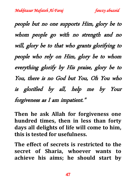people but no one supports Him, glory be to whom people go with no strength and no will, glory be to that who grants glorifying to people who rely on Him, glory be to whom everything glorify by His praise, glory be to You, there is no God but You, Oh You who is glorified by all, help me by Your forgiveness as I am impatient."

**Then he ask Allah for forgiveness one hundred times, then in less than forty days all delights of life will come to him, this is tested for usefulness.**

**The effect of secrets is restricted to the secret of Sharia, whoever wants to achieve his aims; he should start by**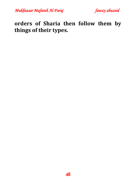*Mukhtasar Mafateh Al-Faraj fawzy abuzeid* 

**orders of Sharia then follow them by things of their types.**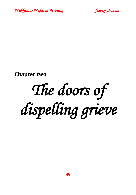



**Chapter two**

# *The doors of dispelling grieve*

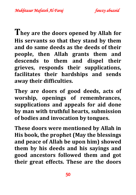**They are the doors opened by Allah for His servants so that they stand by them and do same deeds as the deeds of their people, then Allah grants them and descends to them and dispel their grieves, responds their supplications, facilitates their hardships and sends away their difficulties.**

**They are doors of good deeds, acts of worship, openings of remembrances, supplications and appeals for aid done by man with truthful hearts, submission of bodies and invocation by tongues.**

**These doors were mentioned by Allah in His book, the prophet (May the blessings and peace of Allah be upon him) showed them by his deeds and his sayings and good ancestors followed them and got their great effects. These are the doors**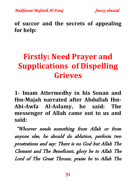



**of succor and the secrets of appealing for help:**

# **Firstly: Need Prayer and Supplications of Dispelling Grieves**

**1- Imam Attermedhy in his Sonan and Ibn-Majah narrated after Abdullah Ibn-Abi-Awfa Al-Aslamy, he said: The messenger of Allah came out to us and said:**

 "Whoever needs something from Allah or from anyone else, he should do ablution, perform two prostrations and say: There is no God but Allah The Clement and The Beneficent, glory be to Allah The Lord of The Great Throne, praise be to Allah The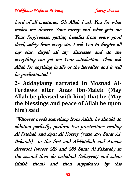Lord of all creatures, Oh Allah I ask You for what makes me deserve Your mercy and what gets me Your forgiveness, getting benefits from every good deed, safety from every sin, I ask You to forgive all my sins, dispel all my distresses and do me everything can get me Your satisfaction. Then ask Allah for anything in life or the hereafter and it will be predestinated."

**2- Addaylamy narrated in Mosnad Al-Ferdaws after Anas Ibn-Malek (May Allah be pleased with him) that he (May the blessings and peace of Allah be upon him) said:**

"Whoever needs something from Allah, he should do ablution perfectly, perform two prostrations reading Al-Fatehah and Ayat Al-Korsey (verse 255 Surat Al-Bakarah) in the first and Al-Fatehah and Amana Arrasool (verses 285 and 286 Surat Al-Bakarah) in the second then do tashahod (taheyyat) and salam (finish them) and then supplicates by this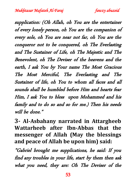supplication: (Oh Allah, oh You are the entertainer of every lonely person, oh You are the companion of every sole, oh You are near not far, oh You are the conqueror not to be conquered, oh The Everlasting and The Sustainer of Life, oh The Majestic and The Benevolent, oh The Deviser of the heavens and the earth, I ask You by Your name The Most Gracious The Most Merciful, The Everlasting and The Sustainer of life, oh You to whom all faces and all sounds shall be humbled before Him and hearts fear Him, I ask You to bless upon Mohammed and his family and to do so and so for me.) Then his needs will be done."

**3- Al-Asbahany narrated in Attargheeb Wattarheeb after Ibn-Abbas that the messenger of Allah (May the blessings and peace of Allah be upon him) said:**

"Gabriel brought me supplications, he said: If you find any troubles in your life, start by them then ask what you need, they are: Oh The Deviser of the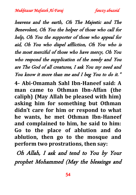heavens and the earth, Oh The Majestic and The Benevolent, Oh You the helper of those who call for help, Oh You the supporter of those who appeal for aid, Oh You who dispel affliction, Oh You who is the most merciful of those who have mercy, Oh You who respond the supplication of the needy and You are The God of all creatures, I ask You my need and You know it more than me and I beg You to do it." **4- Abi-Omamah Sahl Ibn-Haneef said: A man came to Othman Ibn-Affan (the caliph) (May Allah be pleased with him) asking him for something but Othman didn't care for him or respond to what he wants, he met Othman Ibn-Haneef and complained to him, he said to him: Go to the place of ablution and do ablution, then go to the mosque and perform two prostrations, then say:**

Oh Allah, I ask and tend to You by Your prophet Mohammed (May the blessings and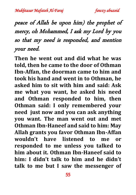#### peace of Allah be upon him) the prophet of mercy, oh Mohammed, I ask my Lord by you so that my need is responded, and mention your need.

**Then he went out and did what he was told, then he came to the door of Othman Ibn-Affan, the doorman came to him and took his hand and went in to Othman, he asked him to sit with him and said: Ask me what you want, he asked his need and Othman responded to him, then Othman said: I only remembered your need just now and you can ask anything you want. The man went out and met Othman Ibn-Haneef and said to him: May Allah grants you favor Othman Ibn-Affan wouldn't have listened to me or responded to me unless you talked to him about it. Othman Ibn-Haneef said to him: I didn't talk to him and he didn't talk to me but I saw the messenger of**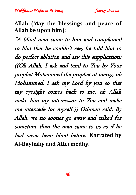

**Allah (May the blessings and peace of Allah be upon him):**

"A blind man came to him and complained to him that he couldn't see, he told him to do perfect ablution and say this supplication: ((Oh Allah, I ask and tend to You by Your prophet Mohammed the prophet of mercy, oh Mohammed, I ask my Lord by you so that my eyesight comes back to me, oh Allah make him my intercessor to You and make me intercede for myself.)) Othman said: By Allah, we no sooner go away and talked for sometime than the man came to us as if he had never been blind before. **Narrated by Al-Bayhaky and Attermedhy.**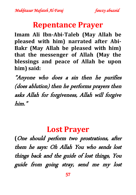#### **Repentance Prayer**

**Imam Ali Ibn-Abi-Taleb (May Allah be pleased with him) narrated after Abi-Bakr (May Allah be pleased with him) that the messenger of Allah (May the blessings and peace of Allah be upon him) said:**

"Anyone who does a sin then he purifies (does ablution) then he performs prayers then asks Allah for forgiveness, Allah will forgive him."

#### **Lost Prayer**

**(**One should perform two prostrations, after them he says: Oh Allah You who sends lost things back and the guide of lost things, You guide from going stray, send me my lost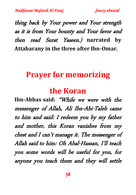thing back by Your power and Your strength as it is from Your bounty and Your favor and then read Surat Yaseen.) **narrated by Attabarany in the three after Ibn-Omar.**

#### **Prayer for memorizing**

#### **the Koran**

**Ibn-Abbas said:** "While we were with the messenger of Allah, Ali Ibn-Abi-Taleb came to him and said: I redeem you by my father and mother, this Koran vanishes from my chest and I can't manage it. The messenger of Allah said to him: Oh Abal-Hassan, I'll teach you some words will be useful for you, for anyone you teach them and they will settle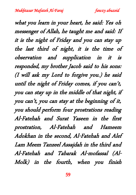what you learn in your heart, he said: Yes oh messenger of Allah, he taught me and said: If it is the night of Friday and you can stay up the last third of night, it is the time of observation and supplication in it is responded, my brother Jacob said to his sons: (I will ask my Lord to forgive you.) he said until the night of Friday comes, if you can't, you can stay up in the middle of that night, if you can't, you can stay at the beginning of it, you should perform four prostrations reading Al-Fatehah and Surat Yaseen in the first prostration, Al-Fatehah and Hameem Adokhan in the second, Al-Fatehah and Alef Lam Meem Tanzeel Assajdah in the third and Al-Fatehah and Tabarak Al-mofassal (Al-Molk) in the fourth, when you finish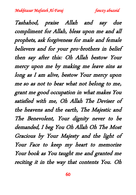Tashahod, praise Allah and say due compliment for Allah, bless upon me and all prophets, ask forgiveness for male and female believers and for your pro-brothers in belief then say after this: Oh Allah bestow Your mercy upon me by making me leave sins as long as I am alive, bestow Your mercy upon me so as not to bear what not belong to me, grant me good occupation in what makes You satisfied with me, Oh Allah The Deviser of the heavens and the earth, The Majestic and The Benevolent, Your dignity never to be demanded, I beg You Oh Allah Oh The Most Gracious by Your Majesty and the light of Your Face to keep my heart to memorize Your book as You taught me and granted me reciting it in the way that contents You. Oh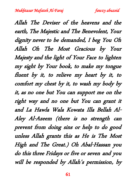Allah The Deviser of the heavens and the earth, The Majestic and The Benevolent, Your dignity never to be demanded, I beg You Oh Allah Oh The Most Gracious by Your Majesty and the light of Your Face to lighten my sight by Your book, to make my tongue fluent by it, to relieve my heart by it, to comfort my chest by it, to wash my body by it, as no one but You can support me on the right way and no one but You can grant it and La Hawla Wala Kowata Illa Bellah Al-Aley Al-Azeem (there is no strength can prevent from doing sins or help to do good unless Allah grants this as He is The Most High and The Great.) Oh Abal-Hassan you do this three Fridays or five or seven and you will be responded by Allah's permission, by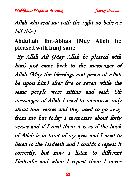#### Allah who sent me with the right no believer fail this.}

**Abdullah Ibn-Abbas (May Allah be pleased with him) said:**

 By Allah Ali (May Allah be pleased with him) just came back to the messenger of Allah (May the blessings and peace of Allah be upon him) after five or seven while the same people were sitting and said: Oh messenger of Allah I used to memorize only about four verses and they used to go away from me but today I memorize about forty verses and if I read them it is as if the book of Allah is in front of my eyes and I used to listen to the Hadeeth and I couldn't repeat it correctly, but now I listen to different Hadeeths and when I repeat them I never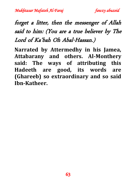#### forget a litter, then the messenger of Allah said to him: (You are a true believer by The Lord of Ka'bah Oh Abal-Hassan.)

**Narrated by Attermedhy in his Jamea, Attabarany and others. Al-Monthery said: The ways of attributing this Hadeeth are good, its words are (Ghareeb) so extraordinary and so said Ibn-Katheer.**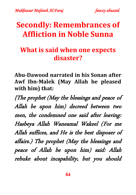### **Secondly: Remembrances of Affliction in Noble Sunna**

#### **What is said when one expects disaster?**

**Abu-Dawood narrated in his Sonan after Awf Ibn-Malek (May Allah be pleased with him) that:**

{The prophet (May the blessings and peace of Allah be upon him) decreed between two men, the condemned one said after leaving: Hasbeya Allah Waneamal Wakeel (For me Allah suffices, and He is the best disposer of affairs.) The prophet (May the blessings and peace of Allah be upon him) said: Allah rebuke about incapability, but you should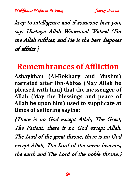keep to intelligence and if someone beat you, say: Hasbeya Allah Waneamal Wakeel (For me Allah suffices, and He is the best disposer of affairs.}

#### **Remembrances of Affliction**

**Ashaykhan (Al-Bokhary and Muslim) narrated after Ibn-Abbas (May Allah be pleased with him) that the messenger of Allah (May the blessings and peace of Allah be upon him) used to supplicate at times of suffering saying:**

{There is no God except Allah, The Great, The Patient, there is no God except Allah, The Lord of the great throne, there is no God except Allah, The Lord of the seven heavens, the earth and The Lord of the noble throne.}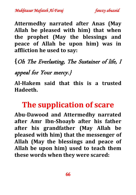*Mukhtasar Mafateh Al-Faraj fawzy abuzeid* 

**Attermedhy narrated after Anas (May Allah be pleased with him) that when the prophet (May the blessings and peace of Allah be upon him) was in affliction he used to say:**

#### **{**Oh The Everlasting, The Sustainer of life, I

#### appeal for Your mercy.}

**Al-Hakem said that this is a trusted Hadeeth.**

#### **The supplication of scare**

**Abu-Dawood and Attermedhy narrated after Amr Ibn-Shoayb after his father after his grandfather (May Allah be pleased with him) that the messenger of Allah (May the blessings and peace of Allah be upon him) used to teach them these words when they were scared:**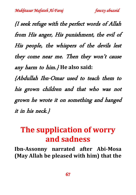{I seek refuge with the perfect words of Allah from His anger, His punishment, the evil of His people, the whispers of the devils lest they come near me. Then they won't cause any harm to him.} **He also said:**

{Abdullah Ibn-Omar used to teach them to his grown children and that who was not grown he wrote it on something and hanged it in his neck.}

# **The supplication of worry and sadness**

**Ibn-Assonny narrated after Abi-Mosa (May Allah be pleased with him) that the**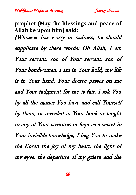*Mukhtasar Mafateh Al-Faraj fawzy abuzeid* 

**prophet (May the blessings and peace of Allah be upon him) said:** {Whoever has worry or sadness, he should supplicate by these words: Oh Allah, I am Your servant, son of Your servant, son of Your bondwoman, I am in Your hold, my life is in Your hand, Your decree passes on me and Your judgment for me is fair, I ask You by all the names You have and call Yourself by them, or revealed in Your book or taught to any of Your creatures or kept as a secret in Your invisible knowledge, I beg You to make the Koran the joy of my heart, the light of my eyes, the departure of my grieve and the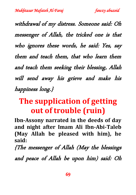withdrawal of my distress. Someone said: Oh messenger of Allah, the tricked one is that who ignores these words, he said: Yes, say them and teach them, that who learn them and teach them seeking their blessing, Allah will send away his grieve and make his happiness long.}

# **The supplication of getting out of trouble (ruin)**

**Ibn-Assony narrated in the deeds of day and night after Imam Ali Ibn-Abi-Taleb (May Allah be pleased with him), he said:**

{The messenger of Allah (May the blessings

and peace of Allah be upon him) said: Oh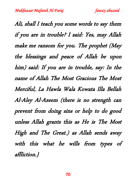Ali, shall I teach you some words to say them if you are in trouble? I said: Yes, may Allah make me ransom for you. The prophet (May the blessings and peace of Allah be upon him) said: If you are in trouble, say: In the name of Allah The Most Gracious The Most Merciful, La Hawla Wala Kowata Illa Bellah Al-Aley Al-Azeem (there is no strength can prevent from doing sins or help to do good unless Allah grants this as He is The Most High and The Great.) as Allah sends away with this what he wills from types of affliction.}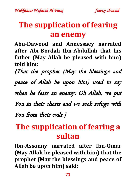### **The supplication of fearing an enemy**

**Abu-Dawood and Annessaey narrated after Abi-Bordah Ibn-Abdullah that his father (May Allah be pleased with him) told him:**

{That the prophet (May the blessings and

peace of Allah be upon him) used to say

when he fears an enemy: Oh Allah, we put

You in their chests and we seek refuge with

You from their evils.}

# **The supplication of fearing a sultan**

**Ibn-Assonny narrated after Ibn-Omar (May Allah be pleased with him) that the prophet (May the blessings and peace of Allah be upon him) said:**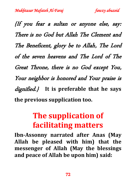{If you fear a sultan or anyone else, say: There is no God but Allah The Clement and The Beneficent, glory be to Allah, The Lord of the seven heavens and The Lord of The Great Throne, there is no God except You, Your neighbor is honored and Your praise is dignified.} **It is preferable that he says the previous supplication too.**

# **The supplication of facilitating matters**

**Ibn-Assonny narrated after Anas (May Allah be pleased with him) that the messenger of Allah (May the blessings and peace of Allah be upon him) said:**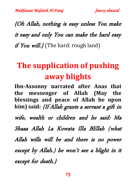{Oh Allah, nothing is easy unless You make it easy and only You can make the hard easy if You will.  $\ell$  (The hard: rough land)

# **The supplication of pushing away blights**

**Ibn-Assonny narrated after Anas that the messenger of Allah (May the blessings and peace of Allah be upon him) said:** {If Allah grants a servant a gift in wife, wealth or children and he said: Ma Shaaa Allah La Kowata Illa BEllah (what Allah wills will be and there is no power except by Allah.) he won't see a blight in it except for death.}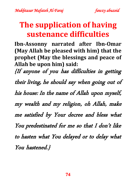# **The supplication of having sustenance difficulties**

**Ibn-Assonny narrated after Ibn-Omar (May Allah be pleased with him) that the prophet (May the blessings and peace of Allah be upon him) said:**

{If anyone of you has difficulties in getting their living, he should say when going out of his house: In the name of Allah upon myself, my wealth and my religion, oh Allah, make me satisfied by Your decree and bless what You predestinated for me so that I don't like to hasten what You delayed or to delay what You hastened.}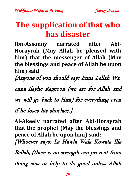## **The supplication of that who has disaster**

**Ibn-Assonny narrated after Abi-Horayrah (May Allah be pleased with him) that the messenger of Allah (May the blessings and peace of Allah be upon him) said:**

{Anyone of you should say: Enna Lellah Waenna Ilayhe Rageoon (we are for Allah and

we will go back to Him) for everything even

if he loses his shoelace.}

**Al-Akeely narrated after Abi-Horayrah that the prophet (May the blessings and peace of Allah be upon him) said:**

{Whoever says: La Hawla Wala Kowata Illa

Bellah, (there is no strength can prevent from

doing sins or help to do good unless Allah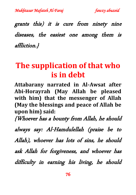grants this) it is cure from ninety nine diseases, the easiest one among them is affliction.}

# **The supplication of that who is in debt**

**Attabarany narrated in Al-Awsat after Abi-Horayrah (May Allah be pleased with him) that the messenger of Allah (May the blessings and peace of Allah be upon him) said:**

{Whoever has a bounty from Allah, he should

always say: Al-Hamdulellah (praise be to Allah), whoever has lots of sins, he should ask Allah for forgiveness, and whoever has difficulty in earning his living, he should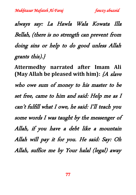always say: La Hawla Wala Kowata Illa Bellah, (there is no strength can prevent from doing sins or help to do good unless Allah grants this).}

**Attermedhy narrated after Imam Ali (May Allah be pleased with him):** {A slave who owe sum of money to his master to be set free, came to him and said: Help me as I can't fulfill what I owe, he said: I'll teach you some words I was taught by the messenger of Allah, if you have a debt like a mountain Allah will pay it for you. He said: Say: Oh Allah, suffice me by Your halal (legal) away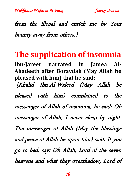

# from the illegal and enrich me by Your bounty away from others.}

### **The supplication of insomnia**

**Ibn-Jareer narrated in Jamea Al-Ahadeeth after Boraydah (May Allah be pleased with him) that he said:**

{Khalid Ibn-Al-Waleed (May Allah be pleased with him) complained to the messenger of Allah of insomnia, he said: Oh messenger of Allah, I never sleep by night. The messenger of Allah (May the blessings and peace of Allah be upon him) said: If you go to bed, say: Oh Allah, Lord of the seven heavens and what they overshadow, Lord of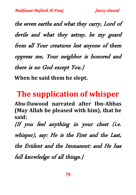the seven earths and what they carry, Lord of devils and what they astray, be my guard from all Your creatures lest anyone of them oppress me, Your neighbor is honored and there is no God except You.}

**When he said them he slept.**

# **The supplication of whisper**

**Abu-Dawood narrated after Ibn-Abbas (May Allah be pleased with him), that he said:**

{If you feel anything in your chest (i.e. whisper), say: He is the First and the Last, the Evident and the Immanent: and He has full knowledge of all things.}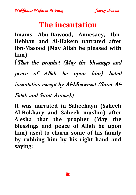# **The incantation**

**Imams Abu-Dawood, Annesaey, Ibn-Hebban and Al-Hakem narrated after Ibn-Masood (May Allah be pleased with him):**

**{**That the prophet (May the blessings and peace of Allah be upon him) hated incantation except by Al-Moawezat (Surat Al-Falak and Surat Annas).}

**It was narrated in Saheehayn (Saheeh Al-Bokhary and Saheeh muslim) after A'esha that the prophet (May the blessings and peace of Allah be upon him) used to charm some of his family by rubbing him by his right hand and saying:**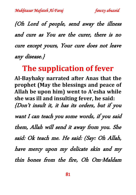{Oh Lord of people, send away the illness and cure as You are the curer, there is no cure except yours, Your cure does not leave any disease.}

## **The supplication of fever**

**Al-Bayhaky narrated after Anas that the prophet (May the blessings and peace of Allah be upon him) went to A'esha while she was ill and insulting fever, he said:** {Don't insult it, it has its orders, but if you want I can teach you some words, if you said them, Allah will send it away from you. She said: Ok teach me. He said: (Say: Oh Allah, have mercy upon my delicate skin and my thin bones from the fire, Oh Om-Maldam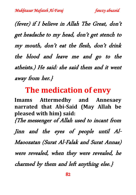(fever) if I believe in Allah The Great, don't get headache to my head, don't get stench to my mouth, don't eat the flesh, don't drink the blood and leave me and go to the atheists.) He said: she said them and it went away from her.}

#### **The medication of envy**

**Imams Attermedhy and Annesaey narrated that Abi-Said (May Allah be pleased with him) said:** {The messenger of Allah used to incant from Jinn and the eyes of people until Al-Maoozatan (Surat Al-Falak and Surat Annas) were revealed, when they were revealed, he

charmed by them and left anything else.}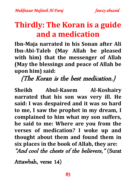# **Thirdly: The Koran is a guide and a medication**

**Ibn-Maja narrated in his Sonan after Ali Ibn-Abi-Taleb (May Allah be pleased with him) that the messenger of Allah (May the blessings and peace of Allah be upon him) said:**

{The Koran is the best medication.}

**Sheikh Abul-Kasem Al-Koshairy narrated that his son was very ill. He said: I was despaired and it was so hard to me, I saw the prophet in my dream, I complained to him what my son suffers, he said to me: Where are you from the verses of medication? I woke up and thought about them and found them in six places in the book of Allah, they are:** "And cool the chests of the believers," (Surat

Attawbah, verse 14)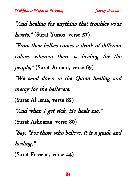"And healing for anything that troubles your hearts," (Surat Yunos, verse 57) "From their bellies comes a drink of different colors, wherein there is healing for the people," (Surat Annahl, verse 69) "We send down in the Quran healing and mercy for the believers." (Surat Al-Israa, verse 82) "And when I get sick, He heals me." (Surat Ashoaraa, verse 80) "Say, "For those who believe, it is a guide and healing," (Surat Fosselat, verse 44)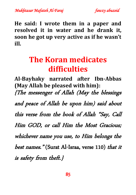

**He said: I wrote them in a paper and resolved it in water and he drank it, soon he got up very active as if he wasn't ill.**

# **The Koran medicates difficulties**

**Al-Bayhaky narrated after Ibn-Abbas (May Allah be pleased with him):** {The messenger of Allah (May the blessings and peace of Allah be upon him) said about this verse from the book of Allah "Say, Call Him GOD, or call Him the Most Gracious; whichever name you use, to Him belongs the best names." (Surat Al-Israa, verse 110) that it is safety from theft.}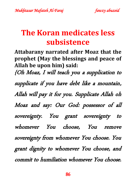# **The Koran medicates less subsistence**

**Attabarany narrated after Moaz that the prophet (May the blessings and peace of Allah be upon him) said:** {Oh Moaz, I will teach you a supplication to supplicate if you have debt like a mountain, Allah will pay it for you. Supplicate Allah oh Moaz and say: Our God: possessor of all sovereignty. You grant sovereignty to whomever You choose, You remove sovereignty from whomever You choose. You grant dignity to whomever You choose, and commit to humiliation whomever You choose.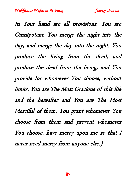In Your hand are all provisions. You are Omnipotent. You merge the night into the day, and merge the day into the night. You produce the living from the dead, and produce the dead from the living, and You provide for whomever You choose, without limits. You are The Most Gracious of this life and the hereafter and You are The Most Merciful of them. You grant whomever You choose from them and prevent whomever You choose, have mercy upon me so that I never need mercy from anyone else.}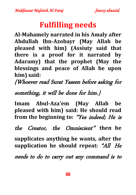# **Fulfilling needs**

**Al-Mahamely narrated in his Amaly after Abdullah Ibn-Azobayr (May Allah be pleased with him) (Assiuty said that there is a proof for it narrated by Adaramy) that the prophet (May the blessings and peace of Allah be upon him) said:** 

{Whoever read Surat Yaseen before asking for

#### something, it will be done for him.}

**Imam Abul-Aza'em (May Allah be pleased with him) said: He should read from the beginning to:** "Yes indeed; He is

the Creator, the Omniscient" **then he** 

**supplicates anything he wants, after the supplication he should repeat:** "All He

needs to do to carry out any command is to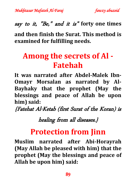say to it, "Be," and it is" **forty one times**

**and then finish the Surat. This method is examined for fulfilling needs.**

# **Among the secrets of Al - Fatehah**

**It was narrated after Abdel-Malek Ibn-Omayr Morsalan as narrated by Al-Bayhaky that the prophet (May the blessings and peace of Allah be upon him) said:**

{Fatehat Al-Ketab (first Surat of the Koran) is

healing from all diseases.}

### **Protection from Jinn**

**Muslim narrated after Abi-Horayrah (May Allah be pleased with him) that the prophet (May the blessings and peace of Allah be upon him) said:**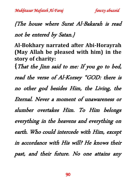# {The house where Surat Al-Bakarah is read not be entered by Satan.}

**Al-Bokhary narrated after Abi-Horayrah (May Allah be pleased with him) in the story of charity: {**That the Jinn said to me: If you go to bed, read the verse of Al-Korsey "GOD: there is no other god besides Him, the Living, the Eternal. Never a moment of unawareness or slumber overtakes Him. To Him belongs everything in the heavens and everything on earth. Who could intercede with Him, except in accordance with His will? He knows their past, and their future. No one attains any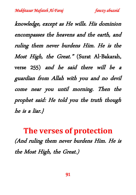knowledge, except as He wills. His dominion encompasses the heavens and the earth, and ruling them never burdens Him. He is the Most High, the Great." (Surat Al-Bakarah, verse 255) and he said there will be a guardian from Allah with you and no devil come near you until morning. Then the prophet said: He told you the truth though he is a liar.}

**The verses of protection** (And ruling them never burdens Him. He is the Most High, the Great.)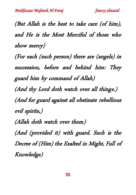(But Allah is the best to take care (of him), and He is the Most Merciful of those who show mercy)

(For each (such person) there are (angels) in succession, before and behind him: They guard him by command of Allah) (And thy Lord doth watch over all things.) (And for guard against all obstinate rebellious evil spirits,) (Allah doth watch over them) (And (provided it) with guard. Such is the Decree of (Him) the Exalted in Might, Full of

Knowledge)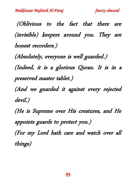(Oblivious to the fact that there are (invisible) keepers around you. They are honest recorders.)

(Absolutely, everyone is well guarded.) (Indeed, it is a glorious Quran. It is in a preserved master tablet.)

(And we guarded it against every rejected devil.)

(He is Supreme over His creatures, and He appoints guards to protect you.) (For my Lord hath care and watch over all

things)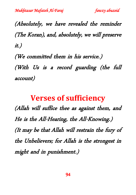(Absolutely, we have revealed the reminder (The Koran), and, absolutely, we will preserve it.)

(We committed them in his service.) (With Us is a record guarding (the full account)

#### **Verses of sufficiency**

(Allah will suffice thee as against them, and He is the All-Hearing, the All-Knowing.) (It may be that Allah will restrain the fury of the Unbelievers; for Allah is the strongest in might and in punishment.)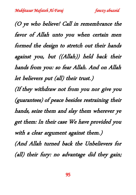(O ye who believe! Call in remembrance the favor of Allah unto you when certain men formed the design to stretch out their hands against you, but ((Allah)) held back their hands from you: so fear Allah. And on Allah let believers put (all) their trust.) (If they withdraw not from you nor give you (guarantees) of peace besides restraining their hands, seize them and slay them wherever ye get them: In their case We have provided you with a clear argument against them.) (And Allah turned back the Unbelievers for (all) their fury: no advantage did they gain;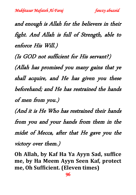and enough is Allah for the believers in their fight. And Allah is full of Strength, able to enforce His Will.)

(Is GOD not sufficient for His servant?) (Allah has promised you many gains that ye shall acquire, and He has given you these beforehand; and He has restrained the hands of men from you.)

(And it is He Who has restrained their hands from you and your hands from them in the midst of Mecca, after that He gave you the victory over them.)

**Oh Allah, by Kaf Ha Ya Ayyn Sad, suffice me, by Ha Meem Ayyn Seen Kaf, protect me, Oh Sufficient. (Eleven times)**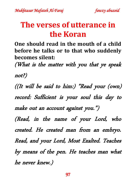# **The verses of utterance in the Koran**

**One should read in the mouth of a child before he talks or to that who suddenly becomes silent:**

(What is the matter with you that ye speak not?)

((It will be said to him:) "Read your (own) record: Sufficient is your soul this day to make out an account against you.") (Read, in the name of your Lord, who

created. He created man from an embryo. Read, and your Lord, Most Exalted. Teaches by means of the pen. He teaches man what he never knew.)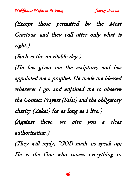(Except those permitted by the Most Gracious, and they will utter only what is right.)

(Such is the inevitable day.)

(He has given me the scripture, and has appointed me a prophet. He made me blessed wherever I go, and enjoined me to observe the Contact Prayers (Salat) and the obligatory charity (Zakat) for as long as I live.) (Against these, we give you a clear authorization.)

(They will reply, "GOD made us speak up; He is the One who causes everything to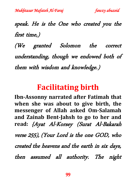speak. He is the One who created you the first time,)

(We granted Solomon the correct understanding, though we endowed both of them with wisdom and knowledge.)

### **Facilitating birth**

**Ibn-Assonny narrated after Fatimah that when she was about to give birth, the messenger of Allah asked Om-Salamah and Zainab Bent-Jahsh to go to her and read:** {Ayat Al-Korsey (Surat Al-Bakarah verse 255), (Your Lord is the one GOD, who created the heavens and the earth in six days, then assumed all authority. The night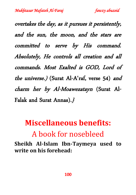overtakes the day, as it pursues it persistently, and the sun, the moon, and the stars are committed to serve by His command. Absolutely, He controls all creation and all commands. Most Exalted is GOD, Lord of the universe.) (Surat Al-A'raf, verse 54) and charm her by Al-Moawezatayn (Surat Al-Falak and Surat Annas).}

# **Miscellaneous benefits:** A book for nosebleed

**Sheikh Al-Islam Ibn-Taymeya used to write on his forehead:**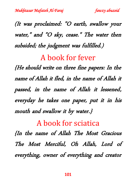(It was proclaimed: "O earth, swallow your water," and "O sky, cease." The water then subsided; the judgment was fulfilled.)

#### A book for fever

{He should write on three fine papers: In the name of Allah it fled, in the name of Allah it passed, in the name of Allah it lessened, everyday he takes one paper, put it in his mouth and swallow it by water.}

#### A book for sciatica

{In the name of Allah The Most Gracious The Most Merciful, Oh Allah, Lord of everything, owner of everything and creator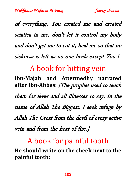of everything, You created me and created sciatica in me, don't let it control my body and don't get me to cut it, heal me so that no sickness is left as no one heals except You.}

A book for hitting vein

**Ibn-Majah and Attermedhy narrated after Ibn-Abbas:** {The prophet used to teach them for fever and all illnesses to say: In the name of Allah The Biggest, I seek refuge by Allah The Great from the devil of every active vein and from the heat of fire.}

#### A book for painful tooth

**He should write on the cheek next to the painful tooth:**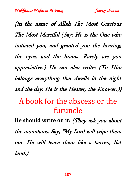{In the name of Allah The Most Gracious The Most Merciful (Say: He is the One who initiated you, and granted you the hearing, the eyes, and the brains. Rarely are you appreciative.) He can also write: (To Him belongs everything that dwells in the night and the day. He is the Hearer, the Knower.)}

# A book for the abscess or the furuncle

**He should write on it:** (They ask you about the mountains. Say, "My Lord will wipe them out. He will leave them like a barren, flat land.)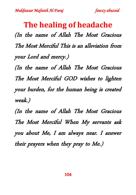**The healing of headache** (In the name of Allah The Most Gracious The Most Merciful This is an alleviation from your Lord and mercy.) (In the name of Allah The Most Gracious

The Most Merciful GOD wishes to lighten your burden, for the human being is created weak.)

(In the name of Allah The Most Gracious The Most Merciful When My servants ask you about Me, I am always near. I answer their prayers when they pray to Me.)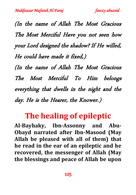(In the name of Allah The Most Gracious The Most Merciful Have you not seen how your Lord designed the shadow? If He willed, He could have made it fixed,)

(In the name of Allah The Most Gracious The Most Merciful To Him belongs everything that dwells in the night and the day. He is the Hearer, the Knower.)

## **The healing of epileptic**

**Al-Bayhaky, Ibn-Assonny and Abu-Obayd narrated after Ibn-Masood (May Allah be pleased with all of them) that he read in the ear of an epileptic and he recovered, the messenger of Allah (May the blessings and peace of Allah be upon**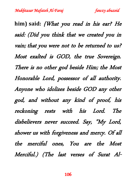**him) said:** {What you read in his ear? He said: (Did you think that we created you in vain; that you were not to be returned to us? Most exalted is GOD, the true Sovereign. There is no other god beside Him; the Most Honorable Lord, possessor of all authority. Anyone who idolizes beside GOD any other god, and without any kind of proof, his reckoning rests with his Lord. The disbelievers never succeed. Say, "My Lord, shower us with forgiveness and mercy. Of all the merciful ones, You are the Most Merciful.) (The last verses of Surat Al-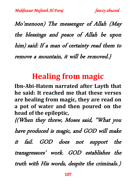Mo'menoon) The messenger of Allah (May the blessings and peace of Allah be upon him) said: If a man of certainty read them to remove a mountain, it will be removed.}

# **Healing from magic**

**Ibn-Abi-Hatem narrated after Layth that he said: It reached me that these verses are healing from magic, they are read on a pot of water and then poured on the head of the epileptic,**

{(When they threw, Moses said, "What you

have produced is magic, and GOD will make

it fail. GOD does not support the transgressors' work. GOD establishes the truth with His words, despite the criminals.)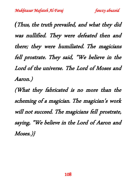*(*Thus, the truth prevailed, and what they did was nullified. They were defeated then and there; they were humiliated. The magicians fell prostrate. They said, "We believe in the Lord of the universe. The Lord of Moses and Aaron.)

(What they fabricated is no more than the scheming of a magician. The magician's work will not succeed. The magicians fell prostrate, saying, "We believe in the Lord of Aaron and Moses.)}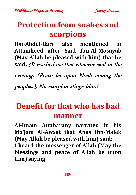### **Protection from snakes and scorpions**

**Ibn-Abdel-Barr also mentioned in Attamheed after Said Ibn-Al-Mosayab (May Allah be pleased with him) that he said:** {It reached me that whoever said in the

evening: (Peace be upon Noah among the peoples.), No scorpion stings him.}

# **Benefit for that who has bad manner**

**Al-Imam Attabarany narrated in his Mo'jam Al-Awsat that Anas Ibn-Malek (May Allah be pleased with him) said: I heard the messenger of Allah (May the blessings and peace of Allah be upon him) saying:**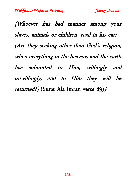{Whoever has bad manner among your slaves, animals or children, read in his ear: (Are they seeking other than God's religion, when everything in the heavens and the earth has submitted to Him, willingly and unwillingly, and to Him they will be returned?) (Surat Ala-Imran verse 83)}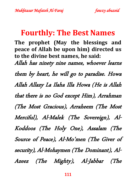### **Fourthly: The Best Names**

**The prophet (May the blessings and peace of Allah be upon him) directed us to the divine best names, he said:** Allah has ninety nine names, whoever learns them by heart, he will go to paradise. Howa Allah Allazy La Ilaha Illa Howa (He is Allah that there is no God except Him), Arrahman (The Most Gracious), Arraheem (The Most Merciful), Al-Malek (The Sovereign), Al-Koddoos (The Holy One), Assalam (The Source of Peace), Al-Mo'men (The Giver of security), Al-Mohaymen (The Dominant), Al-Azeez (The Mighty), Al-Jabbar (The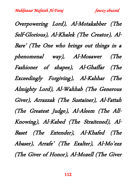Overpowering Lord), Al-Motakabber (The Self-Glorious), Al-Khalek (The Creator), Al-Bare' (The One who brings out things in a phenomenal way), Al-Mosawer (The Fashioner of shapes), Al-Ghaffar (The Exceedingly Forgiving), Al-Kahhar (The Almighty Lord), Al-Wahhab (The Generous Giver), Arrazzak (The Sustainer), Al-Fattah (The Greatest Judge), Al-Aleem (The All-Knowing), Al-Kabed (The Straitened), Al-Baset (The Extender), Al-Khafed (The Abaser), Arrafe' (The Exalter), Al-Mo'ezz (The Giver of Honor), Al-Mozell (The Giver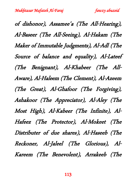of dishonor), Assamee'a (The All-Hearing), Al-Baseer (The All-Seeing), Al-Hakam (The Maker of Immutable Judgments), Al-Adl (The Source of balance and equality), Al-Lateef (The Benignant), Al-Khabeer (The All-Aware), Al-Haleem (The Clement), Al-Azeem (The Great), Al-Ghafoor (The Forgiving), Ashakoor (The Appreciator), Al-Aley (The Most High), Al-Kabeer (The Infinite), Al-Hafeez (The Protector), Al-Mokeet (The Distributer of due shares), Al-Haseeb (The Reckoner, Al-Jaleel (The Glorious), Al-Kareem (The Benevolent), Arrakeeb (The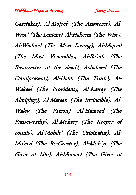Caretaker), Al-Mojeeb (The Answerer), Al-Wase' (The Lenient), Al-Hakeem (The Wise), Al-Wadood (The Most Loving), Al-Majeed (The Most Venerable), Al-Ba'eth (The Resurrecter of the dead), Ashaheed (The Omnipresent), Al-Hakk (The Truth), Al-Wakeel (The Provident), Al-Kawey (The Almighty), Al-Mateen (The Invincible), Al-Waley (The Patron), Al-Hameed (The Praiseworthy), Al-Mohsey (The Keeper of counts), Al-Mobde' (The Originator), Al-Mo'eed (The Re-Creator), Al-Moh'ye (The Giver of Life), Al-Momeet (The Giver of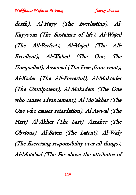death), Al-Hayy (The Everlasting), Al-Kayyoom (The Sustainer of life), Al-Wajed (The All-Perfect), Al-Majed (The All-Excellent), Al-Wahed (The One, The Unequalled), Assamad (The Free , from want), Al-Kader (The All-Powerful), Al-Moktader (The Omnipotent), Al-Mokadem (The One who causes advancement), Al-Mo'akher (The One who causes retardation), Al-Awwal (The First), Al-Akher (The Last), Azzaher (The Obvious), Al-Baten (The Latent), Al-Waly (The Exercising responsibility over all things), Al-Mota'aal (The Far above the attributes of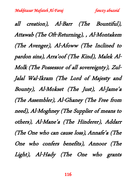all creation), Al-Barr (The Bountiful), Attawab (The Oft-Returning), , Al-Montakem (The Avenger), Al-Afoww (The Inclined to pardon sins), Arra'oof (The Kind), Malek Al-Molk (The Possessor of all sovereignty), Zul-Jalal Wal-Ikram (The Lord of Majesty and Bounty), Al-Mokset (The Just), Al-Jame'a (The Assembler), Al-Ghaney (The Free from need), Al-Moghney (The Supplier of means to others), Al-Mane'a (The Hinderer), Addarr (The One who can cause loss), Annafe'a (The One who confers benefits), Annoor (The Light), Al-Hady (The One who grants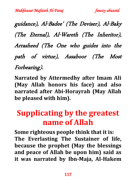guidance), Al-Badee' (The Deviser), Al-Baky (The Eternal), Al-Wareth (The Inheritor), Arrasheed (The One who guides into the path of virtue), Assaboor (The Most Forbearing).

**Narrated by Attermedhy after Imam Ali (May Allah honors his face) and also narrated after Abi-Horayrah (May Allah be pleased with him).**

### **Supplicating by the greatest name of Allah**

**Some righteous people think that it is: The Everlasting The Sustainer of life, because the prophet (May the blessings and peace of Allah be upon him) said as it was narrated by Ibn-Maja, Al-Hakem**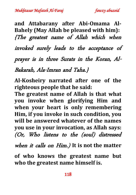**and Attabarany after Abi-Omama Al-Bahely (May Allah be pleased with him):** {The greatest name of Allah which when invoked surely leads to the acceptance of prayer is in three Surats in the Koran, Al-Bakarah, Ala-Imran and Taha.}

**Al-Kosheiry narrated after one of the righteous people that he said:** 

**The greatest name of Allah is that what you invoke when glorifying Him and when your heart is only remembering Him, if you invoke in such condition, you will be answered whatever of the names you use in your invocation, as Allah says:** (Or, Who listens to the (soul) distressed

when it calls on Him.) **It is not the matter** 

**of who knows the greatest name but who the greatest name himself is.**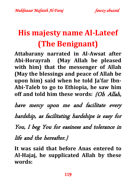# **His majesty name Al-Lateef (The Benignant)**

**Attabarany narrated in Al-Awsat after Abi-Horayrah (May Allah be pleased with him) that the messenger of Allah (May the blessings and peace of Allah be upon him) said when he told Ja'far Ibn-Abi-Taleb to go to Ethiopia, he saw him off and told him these words:** {Oh Allah,

have mercy upon me and facilitate every hardship, as facilitating hardships is easy for You, I beg You for easiness and tolerance in life and the hereafter.}

**It was said that before Anas entered to Al-Hajaj, he supplicated Allah by these words:**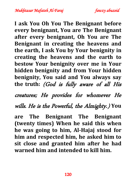

**I ask You Oh You The Benignant before every benignant, You are The Benignant after every benignant, Oh You are The Benignant in creating the heavens and the earth, I ask You by Your benignity in creating the heavens and the earth to bestow Your benignity over me in Your hidden benignity and from Your hidden benignity, You said and You always say the truth:** (God is fully aware of all His

creatures; He provides for whomever He

wills. He is the Powerful, the Almighty.) **You** 

**are The Benignant The Benignant (twenty times) When he said this when he was going to him, Al-Hajaj stood for him and respected him, he asked him to sit close and granted him after he had warned him and intended to kill him.**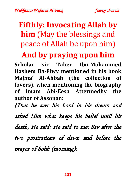# **Fifthly: Invocating Allah by him** (May the blessings and peace of Allah be upon him)

### **And by praying upon him**

**Scholar sir Taher Ibn-Mohammed Hashem Ba-Elwy mentioned in his book Majma' Al-Ahbab (the collection of lovers), when mentioning the biography of Imam Abi-Eesa Attermedhy the author of Assonan:**

{That he saw his Lord in his dream and asked Him what keeps his belief until his death, He said: He said to me: Say after the two prostrations of dawn and before the prayer of Sobh (morning):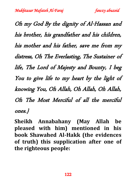Oh my God By the dignity of Al-Hassan and his brother, his grandfather and his children, his mother and his father, save me from my distress, Oh The Everlasting, The Sustainer of life, The Lord of Majesty and Bounty, I beg You to give life to my heart by the light of knowing You, Oh Allah, Oh Allah, Oh Allah, Oh The Most Merciful of all the merciful ones.}

**Sheikh Annabahany (May Allah be pleased with him) mentioned in his book Shawahed Al-Hakk (the evidences of truth) this supplication after one of the righteous people:**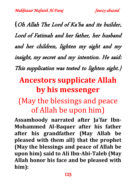**{**Oh Allah The Lord of Ka'ba and its builder, Lord of Fatimah and her father, her husband and her children, lighten my sight and my insight, my secret and my intention. He said: This supplication was tested to lighten sight.}

# **Ancestors supplicate Allah by his messenger**

# (May the blessings and peace of Allah be upon him)

**Assamhoody narrated after Ja'far Ibn-Mohammed Al-Baquer after his father after his grandfather (May Allah be pleased with them all) that the prophet (May the blessings and peace of Allah be upon him) said to Ali Ibn-Abi-Taleb (May Allah honor his face and be pleased with him):**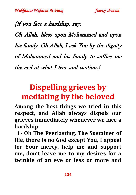{If you face a hardship, say: Oh Allah, bless upon Mohammed and upon his family, Oh Allah, I ask You by the dignity of Mohammed and his family to suffice me the evil of what I fear and caution.}

# **Dispelling grieves by mediating by the beloved**

**Among the best things we tried in this respect, and Allah always dispels our grieves immediately whenever we face a hardship:**

 **1- Oh The Everlasting, The Sustainer of life, there is no God except You, I appeal for Your mercy, help me and support me, don't leave me to my desires for a twinkle of an eye or less or more and**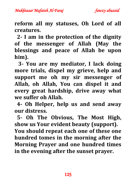**reform all my statuses, Oh Lord of all creatures.**

 **2- I am in the protection of the dignity of the messenger of Allah (May the blessings and peace of Allah be upon him).**

 **3- You are my mediator, I lack doing more trials, dispel my grieve, help and support me oh my sir messenger of Allah, oh Allah, You can dispel it and every great hardship, drive away what we suffer oh Allah.**

 **4- Oh Helper, help us and send away our distress.**

 **5- Oh The Obvious, The Most High, show us Your evident beauty (support). You should repeat each one of these one hundred tomes in the morning after the Morning Prayer and one hundred times in the evening after the sunset prayer.**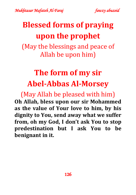

# **Blessed forms of praying upon the prophet**

(May the blessings and peace of Allah be upon him)

# **The form of my sir Abel-Abbas Al-Morsey**

(May Allah be pleased with him) **Oh Allah, bless upon our sir Mohammed as the value of Your love to him, by his dignity to You, send away what we suffer from, oh my God, I don't ask You to stop predestination but I ask You to be benignant in it.**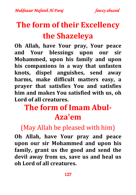# **The form of their Excellency the Shazeleya**

**Oh Allah, have Your pray, Your peace and Your blessings upon our sir Mohammed, upon his family and upon his companions in a way that unfasten knots, dispel anguishes, send away harms, make difficult matters easy, a prayer that satisfies You and satisfies him and makes You satisfied with us, oh Lord of all creatures.**

# **The form of Imam Abul-Aza'em**

### (May Allah be pleased with him)

**Oh Allah, have Your pray and peace upon our sir Mohammed and upon his family, grant us the good and send the devil away from us, save us and heal us oh Lord of all creatures.**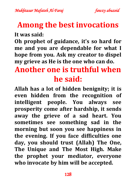### **Among the best invocations**

**It was said:**

**Oh prophet of guidance, it's so hard for me and you are dependable for what I hope from you. Ask my creator to dispel my grieve as He is the one who can do.**

# **Another one is truthful when he said:**

**Allah has a lot of hidden benignity; it is even hidden from the recognition of intelligent people. You always see prosperity come after hardship, it sends away the grieve of a sad heart. You sometimes see something sad in the morning but soon you see happiness in the evening. If you face difficulties one day, you should trust (Allah) The One, The Unique and The Most High. Make the prophet your mediator, everyone who invocate by him will be accepted.**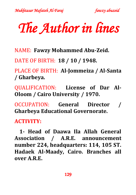# *The Author in lines*

NAME: **Fawzy Mohammed Abu-Zeid.**

DATE OF BIRTH: **18 / 10 / 1948.**

PLACE OF BIRTH: **Al-Jommeiza / Al-Santa / Gharbeya.**

QUALIFICATION: **License of Dar Al-Oloom / Cairo University / 1970.**

**OCCUPATION: General Director Gharbeya Educational Governorate.** 

#### **ACTIVITY:**

 **1- Head of Daawa Ila Allah General Association / A.R.E. announcement number 224, headquarters: 114, 105 ST. Hadaek Al-Maady, Cairo. Branches all over A.R.E.**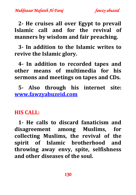**2- He cruises all over Egypt to prevail Islamic call and for the revival of manners by wisdom and fair preaching.**

 **3- In addition to the Islamic writes to revive the Islamic glory.**

 **4- In addition to recorded tapes and other means of multimedia for his sermons and meetings on tapes and CDs.**

 **5- Also through his internet site: [www.fawzyabuzeid.com](http://www.fawzyabuzeid.com/)**

#### **HIS CALL:**

 **1- He calls to discard fanaticism and disagreement among Muslims, for collecting Muslims, the revival of the spirit of Islamic brotherhood and throwing away envy, spite, selfishness and other diseases of the soul.**